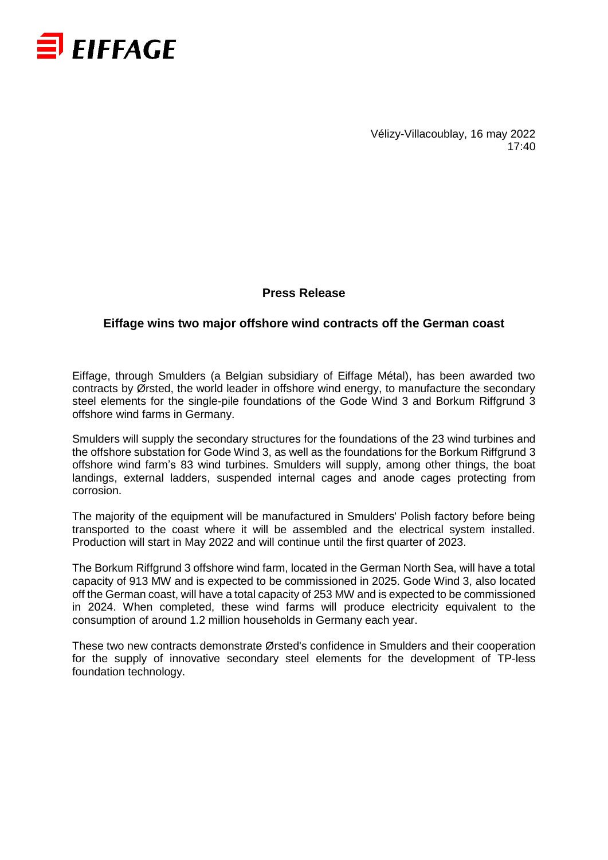

Vélizy-Villacoublay, 16 may 2022 17:40

## **Press Release**

## **Eiffage wins two major offshore wind contracts off the German coast**

Eiffage, through Smulders (a Belgian subsidiary of Eiffage Métal), has been awarded two contracts by Ørsted, the world leader in offshore wind energy, to manufacture the secondary steel elements for the single-pile foundations of the Gode Wind 3 and Borkum Riffgrund 3 offshore wind farms in Germany.

Smulders will supply the secondary structures for the foundations of the 23 wind turbines and the offshore substation for Gode Wind 3, as well as the foundations for the Borkum Riffgrund 3 offshore wind farm's 83 wind turbines. Smulders will supply, among other things, the boat landings, external ladders, suspended internal cages and anode cages protecting from corrosion.

The majority of the equipment will be manufactured in Smulders' Polish factory before being transported to the coast where it will be assembled and the electrical system installed. Production will start in May 2022 and will continue until the first quarter of 2023.

The Borkum Riffgrund 3 offshore wind farm, located in the German North Sea, will have a total capacity of 913 MW and is expected to be commissioned in 2025. Gode Wind 3, also located off the German coast, will have a total capacity of 253 MW and is expected to be commissioned in 2024. When completed, these wind farms will produce electricity equivalent to the consumption of around 1.2 million households in Germany each year.

These two new contracts demonstrate Ørsted's confidence in Smulders and their cooperation for the supply of innovative secondary steel elements for the development of TP-less foundation technology.